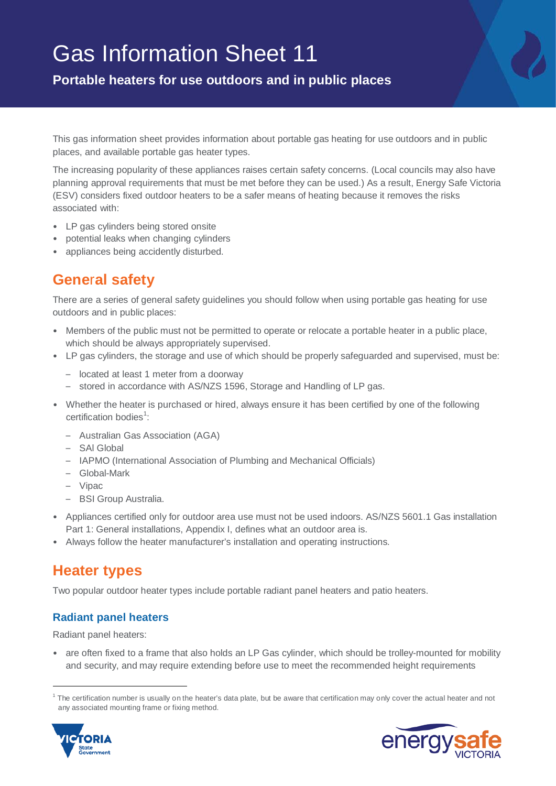# Gas Information Sheet 11

**Portable heaters for use outdoors and in public places**

This gas information sheet provides information about portable gas heating for use outdoors and in public places, and available portable gas heater types.

The increasing popularity of these appliances raises certain safety concerns. (Local councils may also have planning approval requirements that must be met before they can be used.) As a result, Energy Safe Victoria (ESV) considers fixed outdoor heaters to be a safer means of heating because it removes the risks associated with:

- LP gas cylinders being stored onsite
- potential leaks when changing cylinders
- appliances being accidently disturbed.

## **Gene**r**al safety**

There are a series of general safety guidelines you should follow when using portable gas heating for use outdoors and in public places:

- Members of the public must not be permitted to operate or relocate a portable heater in a public place, which should be always appropriately supervised.
- LP gas cylinders, the storage and use of which should be properly safeguarded and supervised, must be:
	- located at least 1 meter from a doorway
	- stored in accordance with AS/NZS 1596, Storage and Handling of LP gas.
- Whether the heater is purchased or hired, always ensure it has been certified by one of the following certification bodies<sup>[1](#page-0-0)</sup>:
	- Australian Gas Association (AGA)
	- SAl Global
	- IAPMO (International Association of Plumbing and Mechanical Officials)
	- Global-Mark
	- Vipac
	- BSI Group Australia.
- Appliances certified only for outdoor area use must not be used indoors. AS/NZS 5601.1 Gas installation Part 1: General installations, Appendix I, defines what an outdoor area is.
- Always follow the heater manufacturer's installation and operating instructions.

## **Heater types**

Two popular outdoor heater types include portable radiant panel heaters and patio heaters.

### **Radiant panel heaters**

Radiant panel heaters:

• are often fixed to a frame that also holds an LP Gas cylinder, which should be trolley-mounted for mobility and security, and may require extending before use to meet the recommended height requirements

<span id="page-0-0"></span><sup>&</sup>lt;sup>1</sup> The certification number is usually on the heater's data plate, but be aware that certification may only cover the actual heater and not any associated mounting frame or fixing method.



I